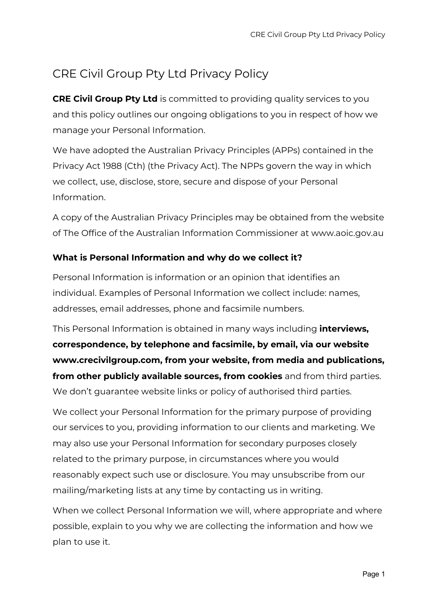# CRE Civil Group Pty Ltd Privacy Policy

**CRE Civil Group Pty Ltd** is committed to providing quality services to you and this policy outlines our ongoing obligations to you in respect of how we manage your Personal Information.

We have adopted the Australian Privacy Principles (APPs) contained in the Privacy Act 1988 (Cth) (the Privacy Act). The NPPs govern the way in which we collect, use, disclose, store, secure and dispose of your Personal Information.

A copy of the Australian Privacy Principles may be obtained from the website of The Office of the Australian Information Commissioner at www.aoic.gov.au

## **What is Personal Information and why do we collect it?**

Personal Information is information or an opinion that identifies an individual. Examples of Personal Information we collect include: names, addresses, email addresses, phone and facsimile numbers.

This Personal Information is obtained in many ways including **interviews, correspondence, by telephone and facsimile, by email, via our website www.crecivilgroup.com, from your website, from media and publications, from other publicly available sources, from cookies** and from third parties. We don't guarantee website links or policy of authorised third parties.

We collect your Personal Information for the primary purpose of providing our services to you, providing information to our clients and marketing. We may also use your Personal Information for secondary purposes closely related to the primary purpose, in circumstances where you would reasonably expect such use or disclosure. You may unsubscribe from our mailing/marketing lists at any time by contacting us in writing.

When we collect Personal Information we will, where appropriate and where possible, explain to you why we are collecting the information and how we plan to use it.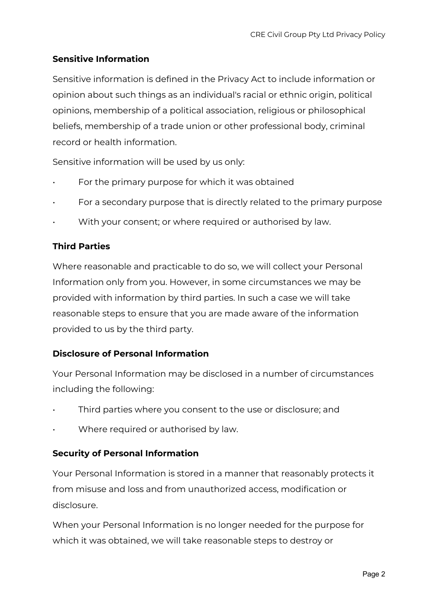## **Sensitive Information**

Sensitive information is defined in the Privacy Act to include information or opinion about such things as an individual's racial or ethnic origin, political opinions, membership of a political association, religious or philosophical beliefs, membership of a trade union or other professional body, criminal record or health information.

Sensitive information will be used by us only:

- For the primary purpose for which it was obtained
- For a secondary purpose that is directly related to the primary purpose
- With your consent; or where required or authorised by law.

## **Third Parties**

Where reasonable and practicable to do so, we will collect your Personal Information only from you. However, in some circumstances we may be provided with information by third parties. In such a case we will take reasonable steps to ensure that you are made aware of the information provided to us by the third party.

## **Disclosure of Personal Information**

Your Personal Information may be disclosed in a number of circumstances including the following:

- Third parties where you consent to the use or disclosure; and
- Where required or authorised by law.

## **Security of Personal Information**

Your Personal Information is stored in a manner that reasonably protects it from misuse and loss and from unauthorized access, modification or disclosure.

When your Personal Information is no longer needed for the purpose for which it was obtained, we will take reasonable steps to destroy or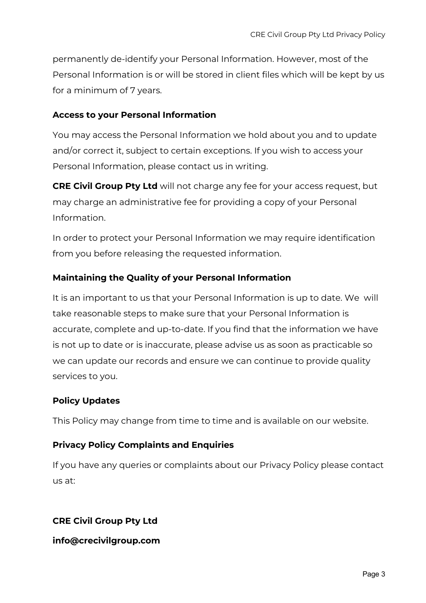permanently de-identify your Personal Information. However, most of the Personal Information is or will be stored in client files which will be kept by us for a minimum of 7 years.

#### **Access to your Personal Information**

You may access the Personal Information we hold about you and to update and/or correct it, subject to certain exceptions. If you wish to access your Personal Information, please contact us in writing.

**CRE Civil Group Pty Ltd** will not charge any fee for your access request, but may charge an administrative fee for providing a copy of your Personal Information.

In order to protect your Personal Information we may require identification from you before releasing the requested information.

## **Maintaining the Quality of your Personal Information**

It is an important to us that your Personal Information is up to date. We will take reasonable steps to make sure that your Personal Information is accurate, complete and up-to-date. If you find that the information we have is not up to date or is inaccurate, please advise us as soon as practicable so we can update our records and ensure we can continue to provide quality services to you.

## **Policy Updates**

This Policy may change from time to time and is available on our website.

## **Privacy Policy Complaints and Enquiries**

If you have any queries or complaints about our Privacy Policy please contact us at:

## **CRE Civil Group Pty Ltd**

**info@crecivilgroup.com**